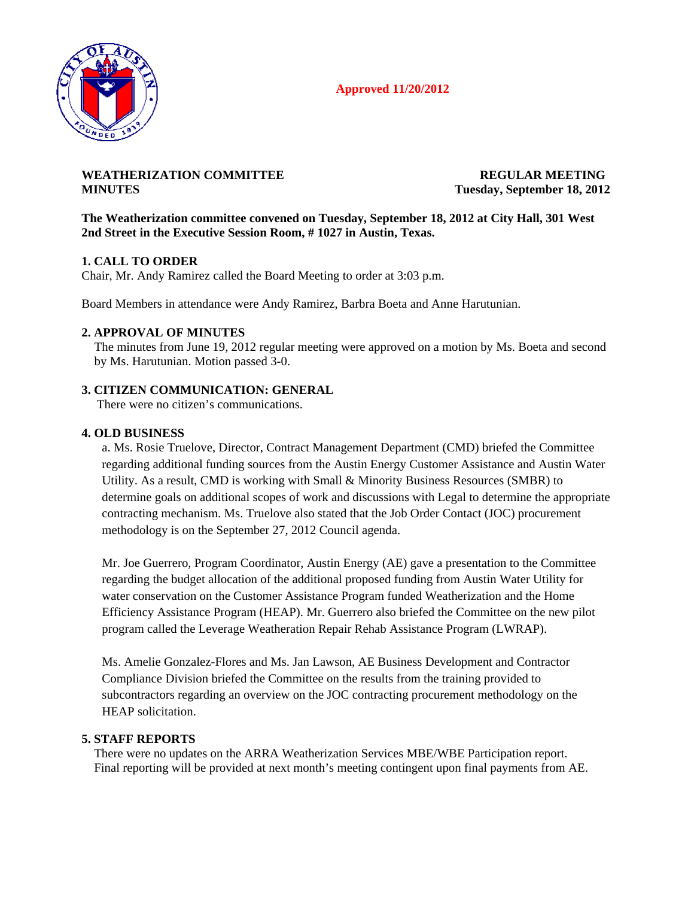# **Approved 11/20/2012**



## WEATHERIZATION COMMITTEE **REGULAR MEETING MINUTES Tuesday, September 18, 2012**

## **The Weatherization committee convened on Tuesday, September 18, 2012 at City Hall, 301 West 2nd Street in the Executive Session Room, # 1027 in Austin, Texas.**

## **1. CALL TO ORDER**

Chair, Mr. Andy Ramirez called the Board Meeting to order at 3:03 p.m.

Board Members in attendance were Andy Ramirez, Barbra Boeta and Anne Harutunian.

#### **2. APPROVAL OF MINUTES**

The minutes from June 19, 2012 regular meeting were approved on a motion by Ms. Boeta and second by Ms. Harutunian. Motion passed 3-0.

#### **3. CITIZEN COMMUNICATION: GENERAL**

There were no citizen's communications.

#### **4. OLD BUSINESS**

a. Ms. Rosie Truelove, Director, Contract Management Department (CMD) briefed the Committee regarding additional funding sources from the Austin Energy Customer Assistance and Austin Water Utility. As a result, CMD is working with Small & Minority Business Resources (SMBR) to determine goals on additional scopes of work and discussions with Legal to determine the appropriate contracting mechanism. Ms. Truelove also stated that the Job Order Contact (JOC) procurement methodology is on the September 27, 2012 Council agenda.

Mr. Joe Guerrero, Program Coordinator, Austin Energy (AE) gave a presentation to the Committee regarding the budget allocation of the additional proposed funding from Austin Water Utility for water conservation on the Customer Assistance Program funded Weatherization and the Home Efficiency Assistance Program (HEAP). Mr. Guerrero also briefed the Committee on the new pilot program called the Leverage Weatheration Repair Rehab Assistance Program (LWRAP).

Ms. Amelie Gonzalez-Flores and Ms. Jan Lawson, AE Business Development and Contractor Compliance Division briefed the Committee on the results from the training provided to subcontractors regarding an overview on the JOC contracting procurement methodology on the HEAP solicitation.

#### **5. STAFF REPORTS**

 There were no updates on the ARRA Weatherization Services MBE/WBE Participation report. Final reporting will be provided at next month's meeting contingent upon final payments from AE.